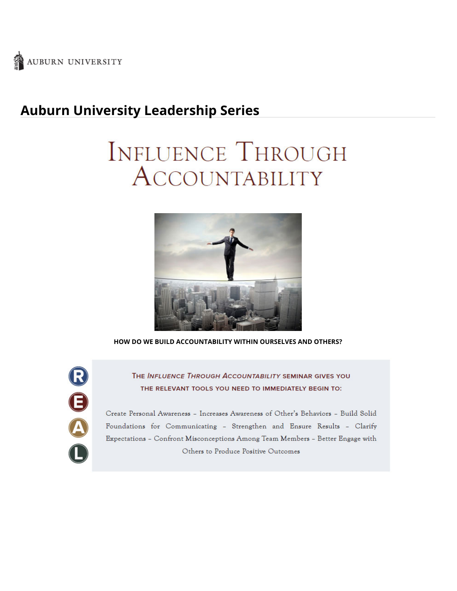

## **Auburn University Leadership Series**

# **INFLUENCE THROUGH** ACCOUNTABILITY



**HOW DO WE BUILD ACCOUNTABILITY WITHIN OURSELVES AND OTHERS?**

ROA

THE INFLUENCE THROUGH ACCOUNTABILITY SEMINAR GIVES YOU THE RELEVANT TOOLS YOU NEED TO IMMEDIATELY BEGIN TO:

Create Personal Awareness - Increases Awareness of Other's Behaviors - Build Solid Foundations for Communicating - Strengthen and Ensure Results - Clarify Expectations - Confront Misconceptions Among Team Members - Better Engage with Others to Produce Positive Outcomes